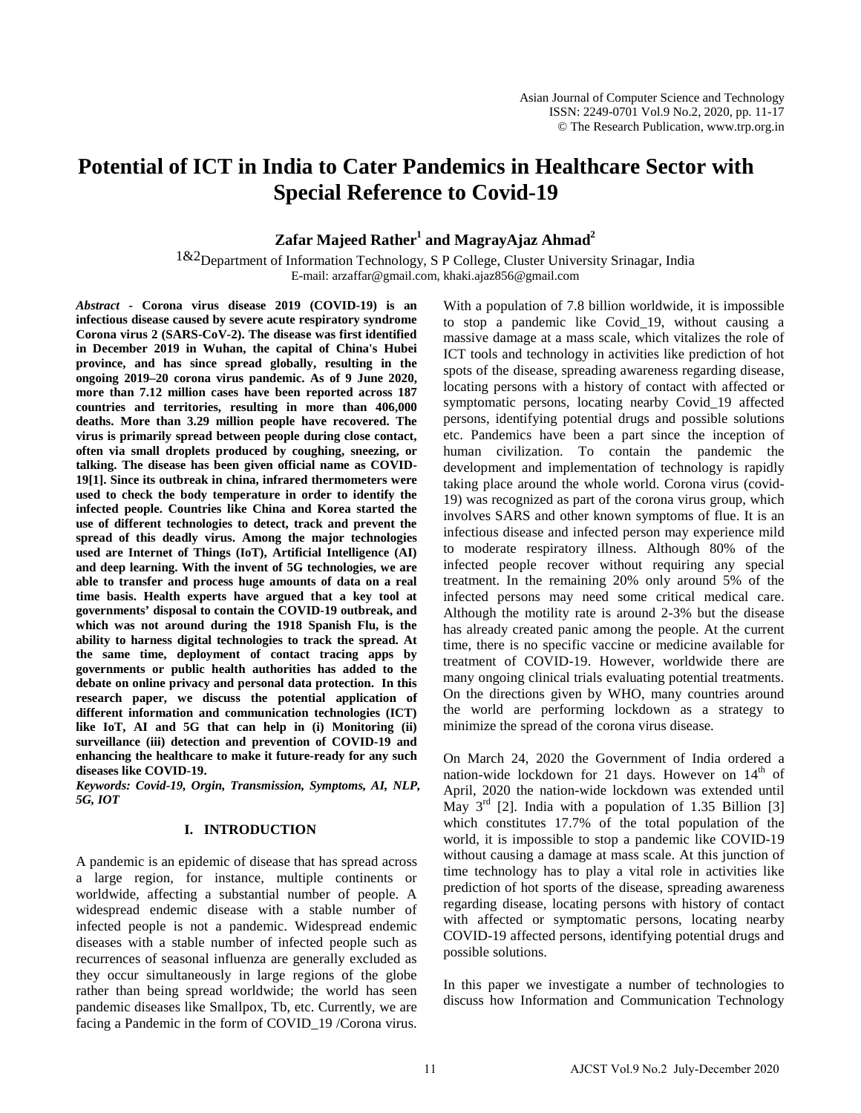# **Potential of ICT in India to Cater Pandemics in Healthcare Sector with Special Reference to Covid-19**

## **Zafar Majeed Rather<sup>1</sup> and MagrayAjaz Ahmad<sup>2</sup>**

1&2Department of Information Technology, S P College, Cluster University Srinagar, India E-mail: arzaffar@gmail.com, khaki.ajaz856@gmail.com

*Abstract* **- Corona virus disease 2019 (COVID-19) is an infectious disease caused by severe acute respiratory syndrome Corona virus 2 (SARS-CoV-2). The disease was first identified in December 2019 in Wuhan, the capital of China's Hubei province, and has since spread globally, resulting in the ongoing 2019–20 corona virus pandemic. As of 9 June 2020, more than 7.12 million cases have been reported across 187 countries and territories, resulting in more than 406,000 deaths. More than 3.29 million people have recovered. The virus is primarily spread between people during close contact, often via small droplets produced by coughing, sneezing, or talking. The disease has been given official name as COVID-19[1]. Since its outbreak in china, infrared thermometers were used to check the body temperature in order to identify the infected people. Countries like China and Korea started the use of different technologies to detect, track and prevent the spread of this deadly virus. Among the major technologies used are Internet of Things (IoT), Artificial Intelligence (AI) and deep learning. With the invent of 5G technologies, we are able to transfer and process huge amounts of data on a real time basis. Health experts have argued that a key tool at governments' disposal to contain the COVID-19 outbreak, and which was not around during the 1918 Spanish Flu, is the ability to harness digital technologies to track the spread. At the same time, deployment of contact tracing apps by governments or public health authorities has added to the debate on online privacy and personal data protection. In this research paper, we discuss the potential application of different information and communication technologies (ICT) like IoT, AI and 5G that can help in (i) Monitoring (ii) surveillance (iii) detection and prevention of COVID-19 and enhancing the healthcare to make it future-ready for any such diseases like COVID-19.**

*Keywords: Covid-19, Orgin, Transmission, Symptoms, AI, NLP, 5G, IOT*

#### **I. INTRODUCTION**

A pandemic is an epidemic of disease that has spread across a large region, for instance, multiple continents or worldwide, affecting a substantial number of people. A widespread endemic disease with a stable number of infected people is not a pandemic. Widespread endemic diseases with a stable number of infected people such as recurrences of seasonal influenza are generally excluded as they occur simultaneously in large regions of the globe rather than being spread worldwide; the world has seen pandemic diseases like Smallpox, Tb, etc. Currently, we are facing a Pandemic in the form of COVID 19 /Corona virus.

With a population of 7.8 billion worldwide, it is impossible to stop a pandemic like Covid\_19, without causing a massive damage at a mass scale, which vitalizes the role of ICT tools and technology in activities like prediction of hot spots of the disease, spreading awareness regarding disease, locating persons with a history of contact with affected or symptomatic persons, locating nearby Covid\_19 affected persons, identifying potential drugs and possible solutions etc. Pandemics have been a part since the inception of human civilization. To contain the pandemic the development and implementation of technology is rapidly taking place around the whole world. Corona virus (covid-19) was recognized as part of the corona virus group, which involves SARS and other known symptoms of flue. It is an infectious disease and infected person may experience mild to moderate respiratory illness. Although 80% of the infected people recover without requiring any special treatment. In the remaining 20% only around 5% of the infected persons may need some critical medical care. Although the motility rate is around 2-3% but the disease has already created panic among the people. At the current time, there is no specific vaccine or medicine available for treatment of COVID-19. However, worldwide there are many ongoing clinical trials evaluating potential treatments. On the directions given by WHO, many countries around the world are performing lockdown as a strategy to minimize the spread of the corona virus disease.

On March 24, 2020 the Government of India ordered a nation-wide lockdown for 21 days. However on  $14<sup>th</sup>$  of April, 2020 the nation-wide lockdown was extended until May  $3^{rd}$  [2]. India with a population of 1.35 Billion [3] which constitutes 17.7% of the total population of the world, it is impossible to stop a pandemic like COVID-19 without causing a damage at mass scale. At this junction of time technology has to play a vital role in activities like prediction of hot sports of the disease, spreading awareness regarding disease, locating persons with history of contact with affected or symptomatic persons, locating nearby COVID-19 affected persons, identifying potential drugs and possible solutions.

In this paper we investigate a number of technologies to discuss how Information and Communication Technology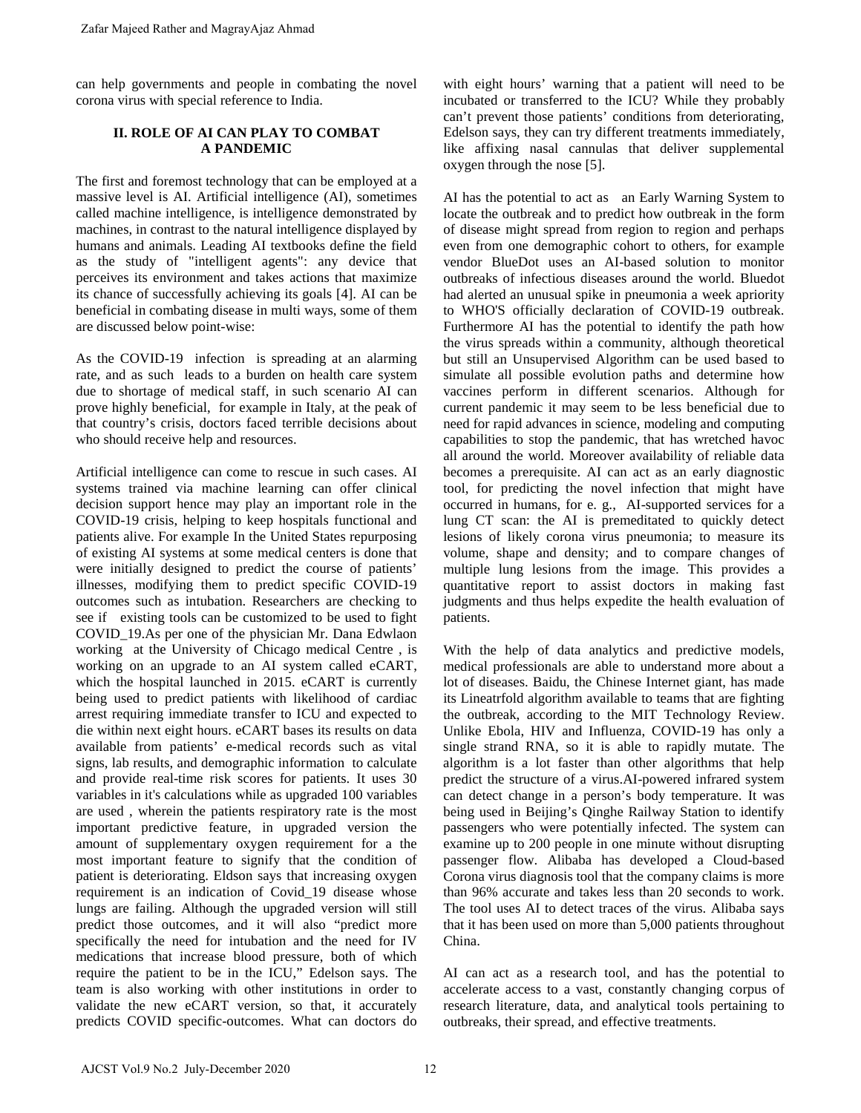can help governments and people in combating the novel corona virus with special reference to India.

## **II. ROLE OF AI CAN PLAY TO COMBAT A PANDEMIC**

The first and foremost technology that can be employed at a massive level is AI. Artificial intelligence (AI), sometimes called machine intelligence, is intelligence demonstrated by machines, in contrast to the natural intelligence displayed by humans and animals. Leading AI textbooks define the field as the study of "intelligent agents": any device that perceives its environment and takes actions that maximize its chance of successfully achieving its goals [4]. AI can be beneficial in combating disease in multi ways, some of them are discussed below point-wise:

As the COVID-19 infection is spreading at an alarming rate, and as such leads to a burden on health care system due to shortage of medical staff, in such scenario AI can prove highly beneficial, for example in Italy, at the peak of that country's crisis, doctors faced terrible decisions about who should receive help and resources.

Artificial intelligence can come to rescue in such cases. AI systems trained via machine learning can offer clinical decision support hence may play an important role in the COVID-19 crisis, helping to keep hospitals functional and patients alive. For example In the United States repurposing of existing AI systems at some medical centers is done that were initially designed to predict the course of patients' illnesses, modifying them to predict specific COVID-19 outcomes such as intubation. Researchers are checking to see if existing tools can be customized to be used to fight COVID\_19.As per one of the physician Mr. Dana Edwlaon working at the University of Chicago medical Centre , is working on an upgrade to an AI system called eCART, which the hospital launched in 2015. eCART is currently being used to predict patients with likelihood of cardiac arrest requiring immediate transfer to ICU and expected to die within next eight hours. eCART bases its results on data available from patients' e-medical records such as vital signs, lab results, and demographic information to calculate and provide real-time risk scores for patients. It uses 30 variables in it's calculations while as upgraded 100 variables are used , wherein the patients respiratory rate is the most important predictive feature, in upgraded version the amount of supplementary oxygen requirement for a the most important feature to signify that the condition of patient is deteriorating. Eldson says that increasing oxygen requirement is an indication of Covid\_19 disease whose lungs are failing. Although the upgraded version will still predict those outcomes, and it will also "predict more specifically the need for intubation and the need for IV medications that increase blood pressure, both of which require the patient to be in the ICU," Edelson says. The team is also working with other institutions in order to validate the new eCART version, so that, it accurately predicts COVID specific-outcomes. What can doctors do Zafar Majeed Rather and MagrayAjaz Ahmad<br>
2. The first und forements and people in combating the novel<br>
orona virus with special reference to India.<br>
II. ROLE OF AT CAN PLANT CO COMBAT<br>
The first und foremost uchrodory th

with eight hours' warning that a patient will need to be incubated or transferred to the ICU? While they probably can't prevent those patients' conditions from deteriorating, Edelson says, they can try different treatments immediately, like affixing nasal cannulas that deliver supplemental oxygen through the nose [5].

AI has the potential to act as an Early Warning System to locate the outbreak and to predict how outbreak in the form of disease might spread from region to region and perhaps even from one demographic cohort to others, for example vendor BlueDot uses an AI-based solution to monitor outbreaks of infectious diseases around the world. Bluedot had alerted an unusual spike in pneumonia a week apriority to WHO'S officially declaration of COVID-19 outbreak. Furthermore AI has the potential to identify the path how the virus spreads within a community, although theoretical but still an Unsupervised Algorithm can be used based to simulate all possible evolution paths and determine how vaccines perform in different scenarios. Although for current pandemic it may seem to be less beneficial due to need for rapid advances in science, modeling and computing capabilities to stop the pandemic, that has wretched havoc all around the world. Moreover availability of reliable data becomes a prerequisite. AI can act as an early diagnostic tool, for predicting the novel infection that might have occurred in humans, for e. g., AI-supported services for a lung CT scan: the AI is premeditated to quickly detect lesions of likely corona virus pneumonia; to measure its volume, shape and density; and to compare changes of multiple lung lesions from the image. This provides a quantitative report to assist doctors in making fast judgments and thus helps expedite the health evaluation of patients.

With the help of data analytics and predictive models, medical professionals are able to understand more about a lot of diseases. Baidu, the Chinese Internet giant, has made its Lineatrfold algorithm available to teams that are fighting the outbreak, according to the MIT Technology Review. Unlike Ebola, HIV and Influenza, COVID-19 has only a single strand RNA, so it is able to rapidly mutate. The algorithm is a lot faster than other algorithms that help predict the structure of a virus.AI-powered infrared system can detect change in a person's body temperature. It was being used in Beijing's Qinghe Railway Station to identify passengers who were potentially infected. The system can examine up to 200 people in one minute without disrupting passenger flow. Alibaba has developed a Cloud-based Corona virus diagnosis tool that the company claims is more than 96% accurate and takes less than 20 seconds to work. The tool uses AI to detect traces of the virus. Alibaba says that it has been used on more than 5,000 patients throughout China.

AI can act as a research tool, and has the potential to accelerate access to a vast, constantly changing corpus of research literature, data, and analytical tools pertaining to outbreaks, their spread, and effective treatments.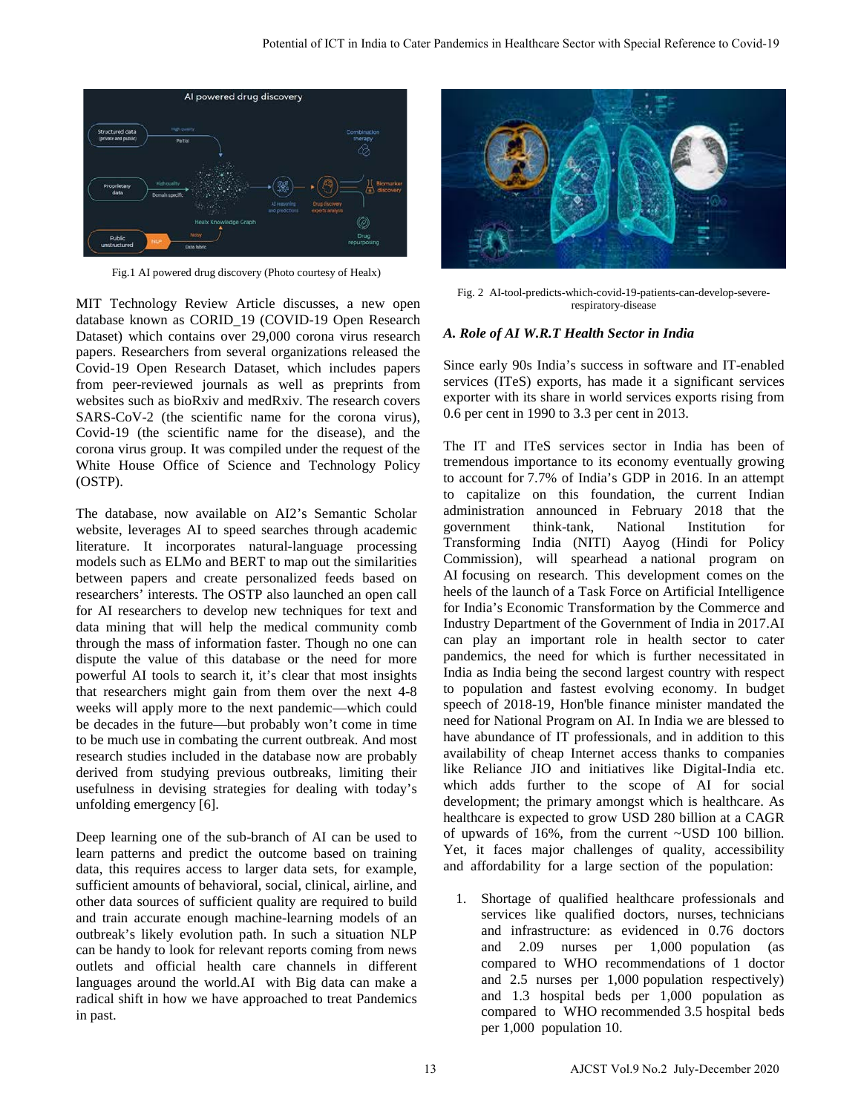

Fig.1 AI powered drug discovery (Photo courtesy of Healx)

MIT Technology Review Article discusses, a new open database known as CORID\_19 (COVID-19 Open Research Dataset) which contains over 29,000 corona virus research papers. Researchers from several organizations released the Covid-19 Open Research Dataset, which includes papers from peer-reviewed journals as well as preprints from websites such as bioRxiv and medRxiv. The research covers SARS-CoV-2 (the scientific name for the corona virus), Covid-19 (the scientific name for the disease), and the corona virus group. It was compiled under the request of the White House Office of Science and Technology Policy (OSTP).

The database, now available on AI2's Semantic Scholar website, leverages AI to speed searches through academic literature. It incorporates natural-language processing models such as ELMo and BERT to map out the similarities between papers and create personalized feeds based on researchers' interests. The OSTP also launched an open call for AI researchers to develop new techniques for text and data mining that will help the medical community comb through the mass of information faster. Though no one can dispute the value of this database or the need for more powerful AI tools to search it, it's clear that most insights that researchers might gain from them over the next 4-8 weeks will apply more to the next pandemic—which could be decades in the future—but probably won't come in time to be much use in combating the current outbreak. And most research studies included in the database now are probably derived from studying previous outbreaks, limiting their usefulness in devising strategies for dealing with today's unfolding emergency [6].

Deep learning one of the sub-branch of AI can be used to learn patterns and predict the outcome based on training data, this requires access to larger data sets, for example, sufficient amounts of behavioral, social, clinical, airline, and other data sources of sufficient quality are required to build and train accurate enough machine-learning models of an outbreak's likely evolution path. In such a situation NLP can be handy to look for relevant reports coming from news outlets and official health care channels in different languages around the world.AI with Big data can make a radical shift in how we have approached to treat Pandemics in past.



Fig. 2 AI-tool-predicts-which-covid-19-patients-can-develop-severerespiratory-disease

## *A. Role of AI W.R.T Health Sector in India*

Since early 90s India's success in software and IT-enabled services (ITeS) exports, has made it a significant services exporter with its share in world services exports rising from 0.6 per cent in 1990 to 3.3 per cent in 2013.

The IT and ITeS services sector in India has been of tremendous importance to its economy eventually growing to account for [7.7% of India's GDP in 2016.](https://www.ibef.org/industry/information-technology-india.aspx) In an attempt to capitalize on this foundation, the current Indian administration announced in February 2018 that the government think-tank, National Institution for Transforming India (NITI) Aayog (Hindi for Policy Commission), will spearhead a [national program on](https://economictimes.indiatimes.com/articleshow/62738713.cms?utm_source=contentofinterest&utm_medium=text&utm_campaign=cppst)  [AI](https://economictimes.indiatimes.com/articleshow/62738713.cms?utm_source=contentofinterest&utm_medium=text&utm_campaign=cppst) focusing on research. This development comes [on the](http://pib.nic.in/newsite/PrintRelease.aspx?relid=170231)  [heels of the launch](http://pib.nic.in/newsite/PrintRelease.aspx?relid=170231) of a Task Force on Artificial Intelligence for India's Economic Transformation by the Commerce and Industry Department of the Government of India in 2017.AI can play an important role in health sector to cater pandemics, the need for which is further necessitated in India as India being the second largest country with respect to population and fastest evolving economy. In budget speech of 2018-19, Hon'ble finance minister mandated the need for National Program on AI. In India we are blessed to have abundance of IT professionals, and in addition to this availability of cheap Internet access thanks to companies like Reliance JIO and initiatives like Digital-India etc. which adds further to the scope of AI for social development; the primary amongst which is healthcare. As healthcare is expected to grow USD 280 billion at a CAGR of upwards of 16%, from the current ~USD 100 billion. Yet, it faces major challenges of quality, accessibility and affordability for a large section of the population: Normal of ICT in both the Cater Pandemics in Healthcare Sector with Special Reference to Covid-19<br>
The contents of Iction Covid-19<br>
The contents of Iction Covid-19<br>
The contents of Iction Covid-19<br>
The contents of Iction

1. Shortage of qualified healthcare professionals and services like qualified doctors, nurses, technicians and infrastructure: as evidenced in 0.76 doctors and 2.09 nurses per 1,000 population (as compared to WHO recommendations of 1 doctor and 2.5 nurses per 1,000 population respectively) and 1.3 hospital beds per 1,000 population as compared to WHO recommended 3.5 hospital beds per 1,000 population 10.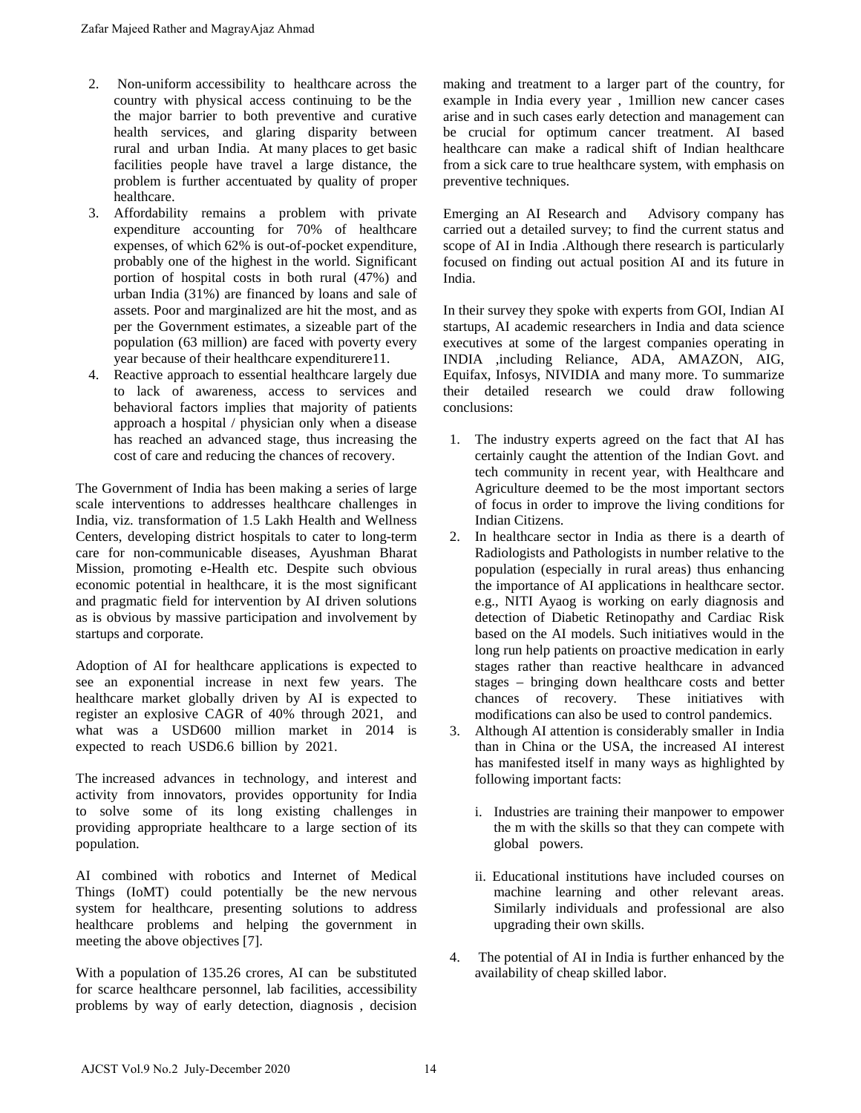- 2. Non-uniform accessibility to healthcare across the country with physical access continuing to be the the major barrier to both preventive and curative health services, and glaring disparity between rural and urban India. At many places to get basic facilities people have travel a large distance, the problem is further accentuated by quality of proper healthcare.
- 3. Affordability remains a problem with private expenditure accounting for 70% of healthcare expenses, of which 62% is out-of-pocket expenditure, probably one of the highest in the world. Significant portion of hospital costs in both rural (47%) and urban India (31%) are financed by loans and sale of assets. Poor and marginalized are hit the most, and as per the Government estimates, a sizeable part of the population (63 million) are faced with poverty every year because of their healthcare expenditurere11.
- 4. Reactive approach to essential healthcare largely due to lack of awareness, access to services and behavioral factors implies that majority of patients approach a hospital / physician only when a disease has reached an advanced stage, thus increasing the cost of care and reducing the chances of recovery.

The Government of India has been making a series of large scale interventions to addresses healthcare challenges in India, viz. transformation of 1.5 Lakh Health and Wellness Centers, developing district hospitals to cater to long-term care for non-communicable diseases, Ayushman Bharat Mission, promoting e-Health etc. Despite such obvious economic potential in healthcare, it is the most significant and pragmatic field for intervention by AI driven solutions as is obvious by massive participation and involvement by startups and corporate. Zafar Majeed Rather and MagrayAjaz Ahmad<br>
2. Non-uniform accessibility to healtheare across the<br>
coarry with physical access continuing to be the<br>
the major barrier to both presentive and curvive<br>
the major barrier to bot

Adoption of AI for healthcare applications is expected to see an exponential increase in next few years. The healthcare market globally driven by AI is expected to register an explosive CAGR of 40% through 2021, and what was a USD600 million market in 2014 is expected to reach USD6.6 billion by 2021.

The increased advances in technology, and interest and activity from innovators, provides opportunity for India to solve some of its long existing challenges in providing appropriate healthcare to a large section of its population.

AI combined with robotics and Internet of Medical Things (IoMT) could potentially be the new nervous system for healthcare, presenting solutions to address healthcare problems and helping the government in meeting the above objectives [7].

With a population of 135.26 crores, AI can be substituted for scarce healthcare personnel, lab facilities, accessibility problems by way of early detection, diagnosis , decision making and treatment to a larger part of the country, for example in India every year , 1million new cancer cases arise and in such cases early detection and management can be crucial for optimum cancer treatment. AI based healthcare can make a radical shift of Indian healthcare from a sick care to true healthcare system, with emphasis on preventive techniques.

Emerging an AI Research and Advisory company has carried out a detailed survey; to find the current status and scope of AI in India .Although there research is particularly focused on finding out actual position AI and its future in India.

In their survey they spoke with experts from GOI, Indian AI startups, AI academic researchers in India and data science executives at some of the largest companies operating in INDIA ,including Reliance, ADA, AMAZON, AIG, Equifax, Infosys, NIVIDIA and many more. To summarize their detailed research we could draw following conclusions:

- 1. The industry experts agreed on the fact that AI has certainly caught the attention of the Indian Govt. and tech community in recent year, with Healthcare and Agriculture deemed to be the most important sectors of focus in order to improve the living conditions for Indian Citizens.
- 2. In healthcare sector in India as there is a dearth of Radiologists and Pathologists in number relative to the population (especially in rural areas) thus enhancing the importance of AI applications in healthcare sector. e.g., NITI Ayaog is working on early diagnosis and detection of Diabetic Retinopathy and Cardiac Risk based on the AI models. Such initiatives would in the long run help patients on proactive medication in early stages rather than reactive healthcare in advanced stages – bringing down healthcare costs and better chances of recovery. These initiatives with modifications can also be used to control pandemics.
- 3. Although AI attention is considerably smaller in India than in China or the USA, the increased AI interest has manifested itself in many ways as highlighted by following important facts:
	- i. Industries are training their manpower to empower the m with the skills so that they can compete with global powers.
	- ii. Educational institutions have included courses on machine learning and other relevant areas. Similarly individuals and professional are also upgrading their own skills.
- 4. The potential of AI in India is further enhanced by the availability of cheap skilled labor.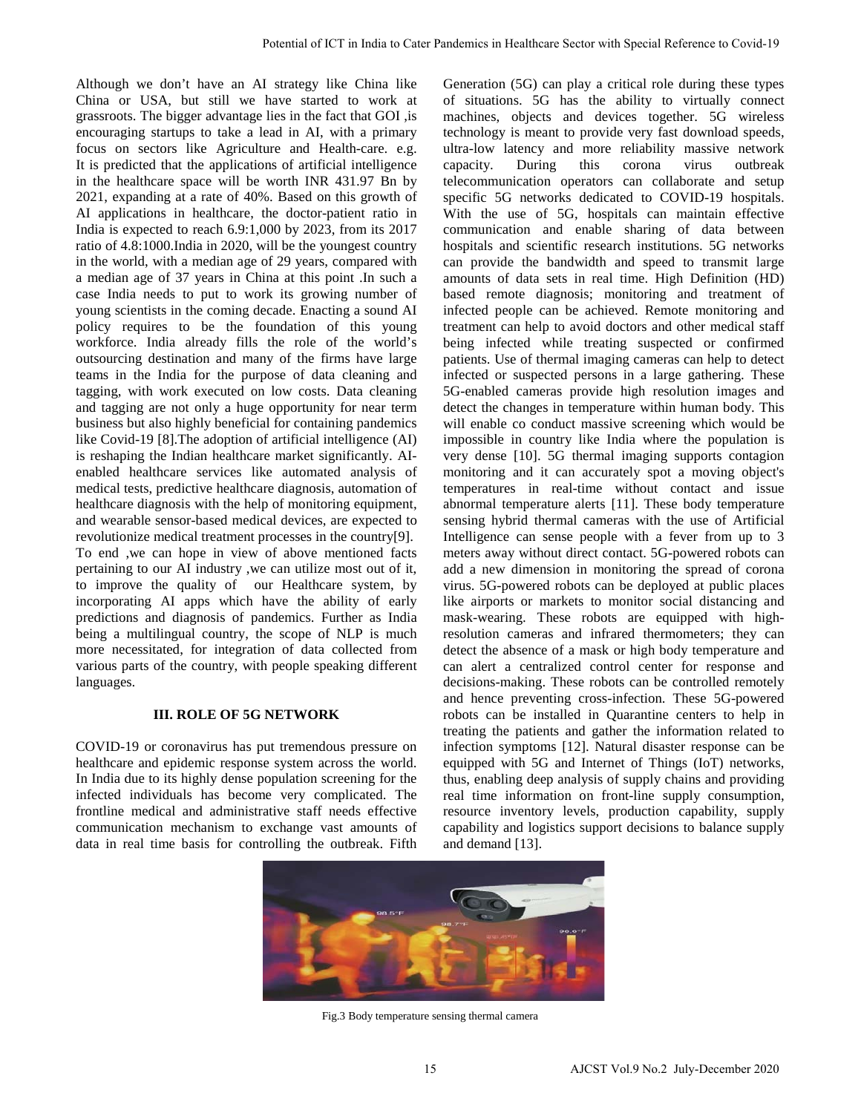Although we don't have an AI strategy like China like China or USA, but still we have started to work at grassroots. The bigger advantage lies in the fact that GOI ,is encouraging startups to take a lead in AI, with a primary focus on sectors like Agriculture and Health-care. e.g. It is predicted that the applications of artificial intelligence in the healthcare space will be worth INR 431.97 Bn by 2021, expanding at a rate of 40%. Based on this growth of AI applications in healthcare, the doctor-patient ratio in India is expected to reach 6.9:1,000 by 2023, from its 2017 ratio of 4.8:1000.India in 2020, will be the youngest country in the world, with a median age of 29 years, compared with a median age of 37 years in China at this point .In such a case India needs to put to work its growing number of young scientists in the coming decade. Enacting a sound AI policy requires to be the foundation of this young workforce. India already fills the role of the world's outsourcing destination and many of the firms have large teams in the India for the purpose of data cleaning and tagging, with work executed on low costs. Data cleaning and tagging are not only a huge opportunity for near term business but also highly beneficial for containing pandemics like Covid-19 [8].The adoption of artificial intelligence (AI) is reshaping the Indian healthcare market significantly. AIenabled healthcare services like automated analysis of medical tests, predictive healthcare diagnosis, automation of healthcare diagnosis with the help of monitoring equipment, and wearable sensor-based medical devices, are expected to revolutionize medical treatment processes in the country[9]. To end ,we can hope in view of above mentioned facts pertaining to our AI industry ,we can utilize most out of it, to improve the quality of our Healthcare system, by incorporating AI apps which have the ability of early predictions and diagnosis of pandemics. Further as India being a multilingual country, the scope of NLP is much more necessitated, for integration of data collected from various parts of the country, with people speaking different languages.

#### **III. ROLE OF 5G NETWORK**

COVID-19 or coronavirus has put tremendous pressure on healthcare and epidemic response system across the world. In India due to its highly dense population screening for the infected individuals has become very complicated. The frontline medical and administrative staff needs effective communication mechanism to exchange vast amounts of data in real time basis for controlling the outbreak. Fifth

Generation (5G) can play a critical role during these types of situations. 5G has the ability to virtually connect machines, objects and devices together. 5G wireless technology is meant to provide very fast download speeds, ultra-low latency and more reliability massive network capacity. During this corona virus outbreak telecommunication operators can collaborate and setup specific 5G networks dedicated to COVID-19 hospitals. With the use of 5G, hospitals can maintain effective communication and enable sharing of data between hospitals and scientific research institutions. 5G networks can provide the bandwidth and speed to transmit large amounts of data sets in real time. High Definition (HD) based remote diagnosis; monitoring and treatment of infected people can be achieved. Remote monitoring and treatment can help to avoid doctors and other medical staff being infected while treating suspected or confirmed patients. Use of thermal imaging cameras can help to detect infected or suspected persons in a large gathering. These 5G-enabled cameras provide high resolution images and detect the changes in temperature within human body. This will enable co conduct massive screening which would be impossible in country like India where the population is very dense [10]. 5G thermal imaging supports contagion monitoring and it can accurately spot a moving object's temperatures in real-time without contact and issue abnormal temperature alerts [11]. These body temperature sensing hybrid thermal cameras with the use of Artificial Intelligence can sense people with a fever from up to 3 meters away without direct contact. 5G-powered robots can add a new dimension in monitoring the spread of corona virus. 5G-powered robots can be deployed at public places like airports or markets to monitor social distancing and mask-wearing. These robots are equipped with highresolution cameras and infrared thermometers; they can detect the absence of a mask or high body temperature and can alert a centralized control center for response and decisions-making. These robots can be controlled remotely and hence preventing cross-infection. These 5G-powered robots can be installed in Quarantine centers to help in treating the patients and gather the information related to infection symptoms [12]. Natural disaster response can be equipped with 5G and Internet of Things (IoT) networks, thus, enabling deep analysis of supply chains and providing real time information on front-line supply consumption, resource inventory levels, production capability, supply capability and logistics support decisions to balance supply and demand [13]. No.2 July-18 Alexania of Cater Pandemics in Healthcare Sector with Special Reference to Covid-19<br>
Ancieng Nice Cater like Concernsion (80) can princ alternative laterny these types of the Cater Pandemics in Alexans and He



Fig.3 Body temperature sensing thermal camera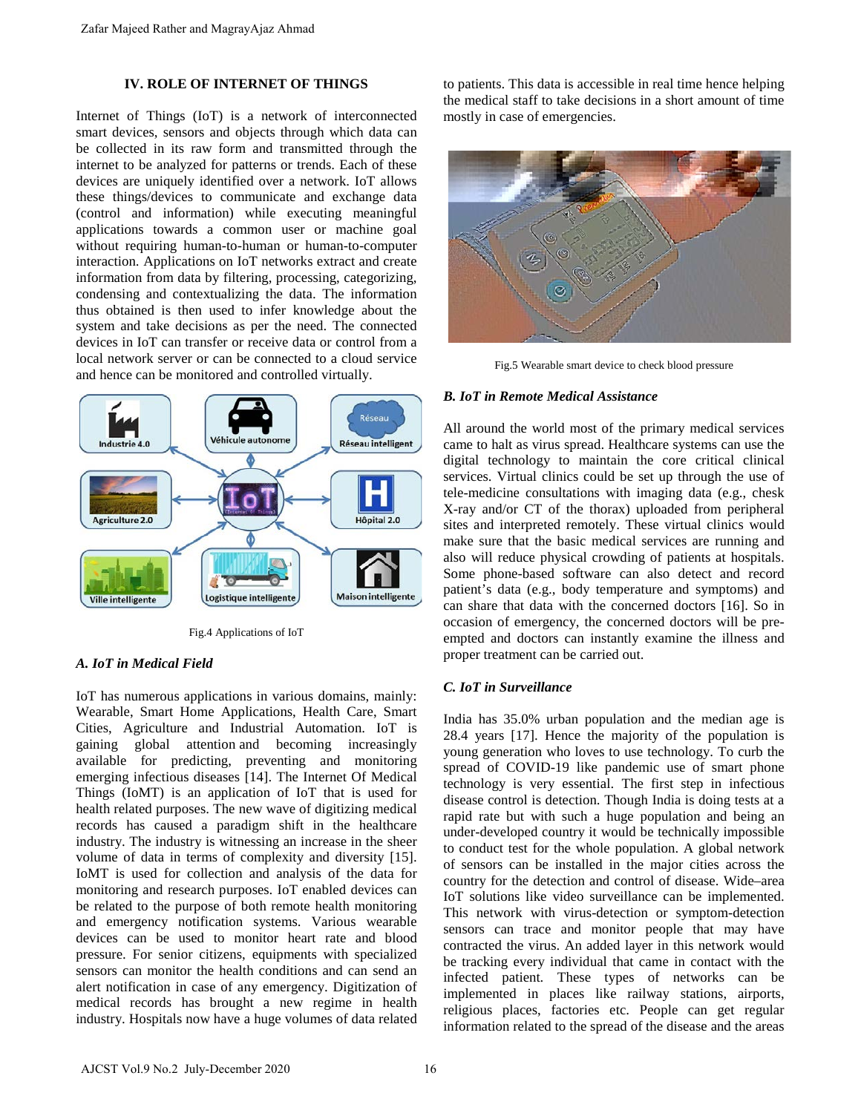#### **IV. ROLE OF INTERNET OF THINGS**

Internet of Things (IoT) is a network of interconnected smart devices, sensors and objects through which data can be collected in its raw form and transmitted through the internet to be analyzed for patterns or trends. Each of these devices are uniquely identified over a network. IoT allows these things/devices to communicate and exchange data (control and information) while executing meaningful applications towards a common user or machine goal without requiring human-to-human or human-to-computer interaction. Applications on IoT networks extract and create information from data by filtering, processing, categorizing, condensing and contextualizing the data. The information thus obtained is then used to infer knowledge about the system and take decisions as per the need. The connected devices in IoT can transfer or receive data or control from a local network server or can be connected to a cloud service and hence can be monitored and controlled virtually.



Fig.4 Applications of IoT

#### *A. IoT in Medical Field*

IoT has numerous applications in various domains, mainly: Wearable, Smart Home Applications, Health Care, Smart Cities, Agriculture and Industrial Automation. IoT is gaining global attention and becoming increasingly available for predicting, preventing and monitoring emerging infectious diseases [14]. The Internet Of Medical Things (IoMT) is an application of IoT that is used for health related purposes. The new wave of digitizing medical records has caused a paradigm shift in the healthcare industry. The industry is witnessing an increase in the sheer volume of data in terms of complexity and diversity [15]. IoMT is used for collection and analysis of the data for monitoring and research purposes. IoT enabled devices can be related to the purpose of both remote health monitoring and emergency notification systems. Various wearable devices can be used to monitor heart rate and blood pressure. For senior citizens, equipments with specialized sensors can monitor the health conditions and can send an alert notification in case of any emergency. Digitization of medical records has brought a new regime in health industry. Hospitals now have a huge volumes of data related Zafar Majeed Rather and MagrayAjaz Ahmad<br>
IV. ROLE OF INTERNET OF THINGS<br>
IV. ROLE OF INTERNET OF THINGS<br>
INTERNET OF THINGS<br>
INTERNET OF THINGS<br>
INTERNET OF THE SERVICES are uniquely sidentified over a neutwork. IoT allo

to patients. This data is accessible in real time hence helping the medical staff to take decisions in a short amount of time mostly in case of emergencies.



Fig.5 Wearable smart device to check blood pressure

#### *B. IoT in Remote Medical Assistance*

All around the world most of the primary medical services came to halt as virus spread. Healthcare systems can use the digital technology to maintain the core critical clinical services. Virtual clinics could be set up through the use of tele-medicine consultations with imaging data (e.g., chesk X-ray and/or CT of the thorax) uploaded from peripheral sites and interpreted remotely. These virtual clinics would make sure that the basic medical services are running and also will reduce physical crowding of patients at hospitals. Some phone-based software can also detect and record patient's data (e.g., body temperature and symptoms) and can share that data with the concerned doctors [16]. So in occasion of emergency, the concerned doctors will be preempted and doctors can instantly examine the illness and proper treatment can be carried out.

#### *C. IoT in Surveillance*

India has 35.0% urban population and the median age is 28.4 years [17]. Hence the majority of the population is young generation who loves to use technology. To curb the spread of COVID-19 like pandemic use of smart phone technology is very essential. The first step in infectious disease control is detection. Though India is doing tests at a rapid rate but with such a huge population and being an under-developed country it would be technically impossible to conduct test for the whole population. A global network of sensors can be installed in the major cities across the country for the detection and control of disease. Wide–area IoT solutions like video surveillance can be implemented. This network with virus-detection or symptom-detection sensors can trace and monitor people that may have contracted the virus. An added layer in this network would be tracking every individual that came in contact with the infected patient. These types of networks can be implemented in places like railway stations, airports, religious places, factories etc. People can get regular information related to the spread of the disease and the areas